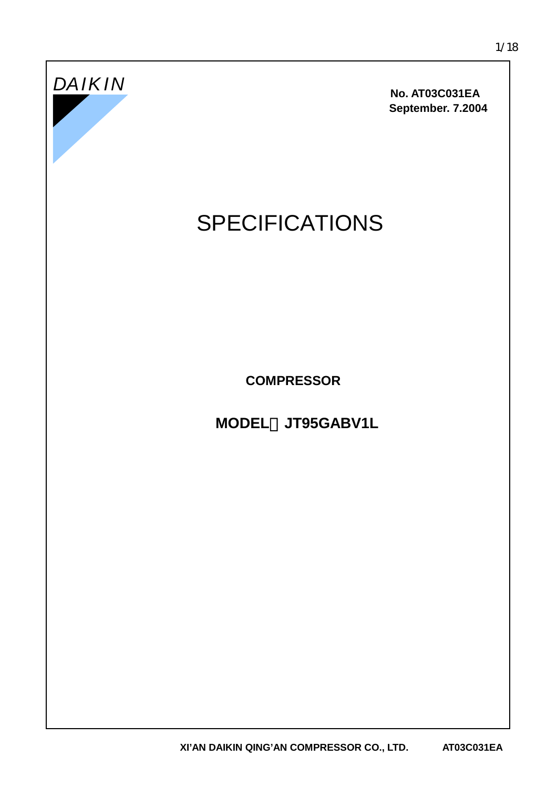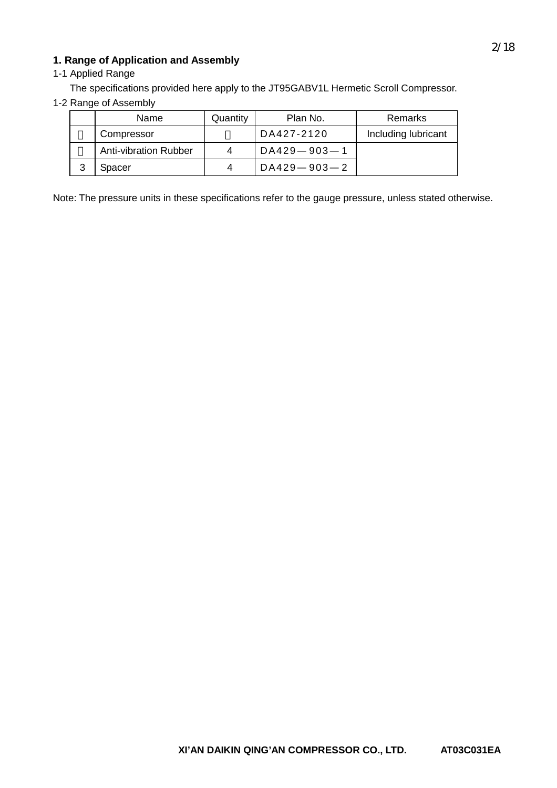## **1. Range of Application and Assembly**

## 1-1 Applied Range

The specifications provided here apply to the JT95GABV1L Hermetic Scroll Compressor.

1-2 Range of Assembly

| Name                         | Quantity | Plan No.          | <b>Remarks</b>      |
|------------------------------|----------|-------------------|---------------------|
| Compressor                   |          | DA427-2120        | Including lubricant |
| <b>Anti-vibration Rubber</b> | 4        | $DA429 - 903 - 1$ |                     |
| Spacer                       | 4        | $DA429 - 903 - 2$ |                     |

Note: The pressure units in these specifications refer to the gauge pressure, unless stated otherwise.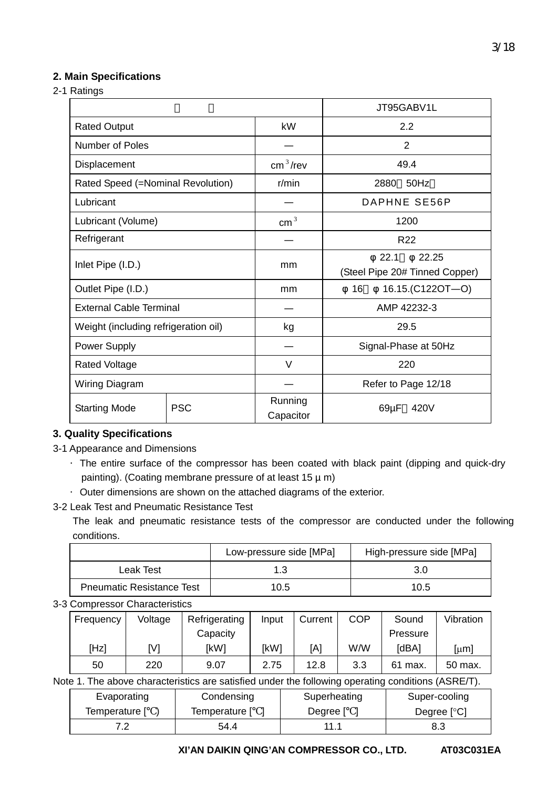## **2. Main Specifications**

2-1 Ratings

|                                      |  | JT95GABV1L           |                                                 |  |
|--------------------------------------|--|----------------------|-------------------------------------------------|--|
| <b>Rated Output</b>                  |  | kW                   | 2.2                                             |  |
| Number of Poles                      |  |                      | 2                                               |  |
| Displacement                         |  | cm <sup>3</sup> /rev | 49.4                                            |  |
| Rated Speed (=Nominal Revolution)    |  | $r/m$ in             | 2880<br>50Hz                                    |  |
| Lubricant                            |  |                      | DAPHNE SE56P                                    |  |
| Lubricant (Volume)                   |  | cm <sup>3</sup>      | 1200                                            |  |
| Refrigerant                          |  |                      | R <sub>22</sub>                                 |  |
| Inlet Pipe (I.D.)                    |  | mm                   | 22.1<br>22.25<br>(Steel Pipe 20# Tinned Copper) |  |
| Outlet Pipe (I.D.)                   |  | mm                   | 16.15.(C122OT-O)<br>16                          |  |
| <b>External Cable Terminal</b>       |  |                      | AMP 42232-3                                     |  |
| Weight (including refrigeration oil) |  | kg                   | 29.5                                            |  |
| Power Supply                         |  |                      | Signal-Phase at 50Hz                            |  |
| <b>Rated Voltage</b>                 |  | $\vee$               | 220                                             |  |
| <b>Wiring Diagram</b>                |  |                      | Refer to Page 12/18                             |  |
| <b>PSC</b><br><b>Starting Mode</b>   |  | Running<br>Capacitor | $69\mu F$<br>420V                               |  |

## **3. Quality Specifications**

- 3-1 Appearance and Dimensions
	- ·The entire surface of the compressor has been coated with black paint (dipping and quick-dry painting). (Coating membrane pressure of at least 15 µ m)
	- ·Outer dimensions are shown on the attached diagrams of the exterior.
- 3-2 Leak Test and Pneumatic Resistance Test

The leak and pneumatic resistance tests of the compressor are conducted under the following conditions.

|                                  | Low-pressure side [MPa] | High-pressure side [MPa] |
|----------------------------------|-------------------------|--------------------------|
| Leak Test                        |                         | 3.0                      |
| <b>Pneumatic Resistance Test</b> | 10.5                    | 10.5                     |

## 3-3 Compressor Characteristics

| Frequency | Voltage | Refrigerating | Input | Current | <b>COP</b> | Sound    | Vibration |
|-----------|---------|---------------|-------|---------|------------|----------|-----------|
|           |         | Capacity      |       |         |            | Pressure |           |
| [Hz]      | [V]     | [kW]          | [kW]  | [A]     | W/W        | [dBA]    | [µm]      |
| 50        | 220     | 9.07          | 2.75  | 12.8    | 3.3        | 61 max.  | 50 max.   |

Note 1. The above characteristics are satisfied under the following operating conditions (ASRE/T).

| Evaporating   | Condensing    | Superheating | Super-cooling |
|---------------|---------------|--------------|---------------|
| Temperature [ | Temperature [ | Degree [     | Degree $[°C]$ |
|               | 54.4          | 11 1         | 8.3           |

**XI'AN DAIKIN QING'AN COMPRESSOR CO., LTD. AT03C031EA**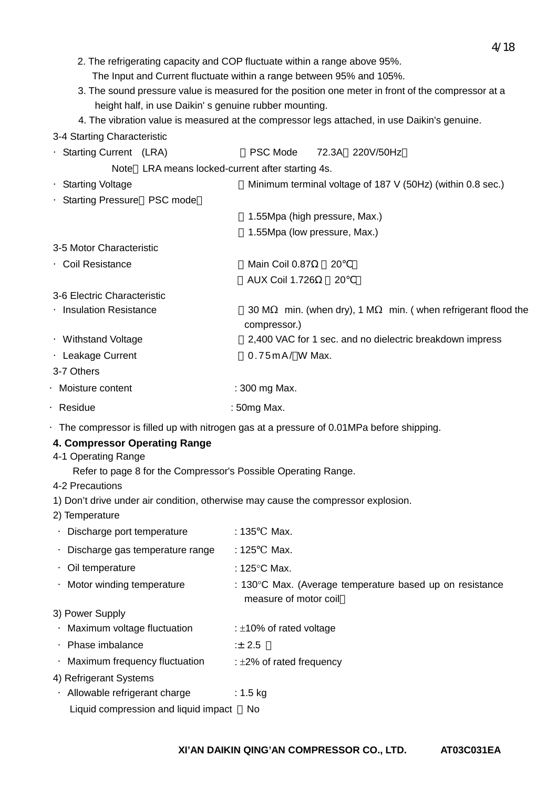- 2. The refrigerating capacity and COP fluctuate within a range above 95%.
	- The Input and Current fluctuate within a range between 95% and 105%.
- 3. The sound pressure value is measured for the position one meter in front of the compressor at a height half, in use Daikin' s genuine rubber mounting.

4. The vibration value is measured at the compressor legs attached, in use Daikin's genuine.

#### 3-4 Starting Characteristic

·Starting Current (LRA) PSC Mode 72.3A 220V/50Hz Note LRA means locked-current after starting 4s. ·Starting Voltage Minimum terminal voltage of 187 V (50Hz) (within 0.8 sec.) ·Starting Pressure PSC mode

> 1.55Mpa (high pressure, Max.) 1.55Mpa (low pressure, Max.)

3-5 Motor Characteristic

- ·Coil Resistance Main Coil 0.87Ω(20℃) AUX Coil 1.726 20
- 3-6 Electric Characteristic
- ·Insulation Resistance 30 M min. (when dry), 1 M min. ( when refrigerant flood the compressor.) ·Withstand Voltage 2,400 VAC for 1 sec. and no dielectric breakdown impress ·Leakage Current 0.75mA/ W Max. 3-7 Others
- · Moisture content : 300 mg Max.
- · Residue : 50mg Max.

 $\cdot$  The compressor is filled up with nitrogen gas at a pressure of 0.01MPa before shipping.

## **4. Compressor Operating Range**

4-1 Operating Range

Refer to page 8 for the Compressor's Possible Operating Range.

4-2 Precautions

1) Don't drive under air condition, otherwise may cause the compressor explosion.

2) Temperature

| Discharge port temperature           | :135                   | Max.                                                                              |
|--------------------------------------|------------------------|-----------------------------------------------------------------------------------|
| · Discharge gas temperature range    | :125                   | Max.                                                                              |
| · Oil temperature                    | : 125 $\degree$ C Max. |                                                                                   |
| Motor winding temperature            |                        | : 130°C Max. (Average temperature based up on resistance<br>measure of motor coil |
| 3) Power Supply                      |                        |                                                                                   |
| · Maximum voltage fluctuation        |                        | : $\pm$ 10% of rated voltage                                                      |
| · Phase imbalance                    | $\pm 2.5$              |                                                                                   |
| · Maximum frequency fluctuation      |                        | : $\pm 2\%$ of rated frequency                                                    |
| 4) Refrigerant Systems               |                        |                                                                                   |
| · Allowable refrigerant charge       | $: 1.5$ kg             |                                                                                   |
| Liquid compression and liquid impact | <b>No</b>              |                                                                                   |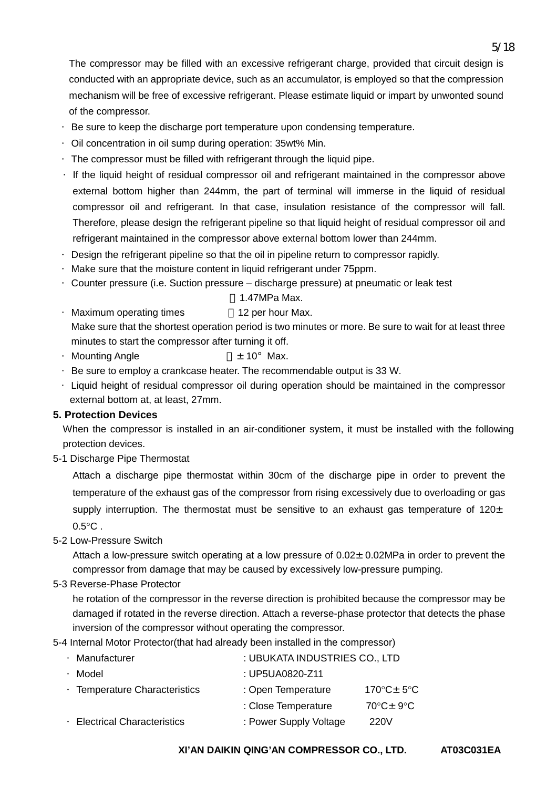The compressor may be filled with an excessive refrigerant charge, provided that circuit design is conducted with an appropriate device, such as an accumulator, is employed so that the compression mechanism will be free of excessive refrigerant. Please estimate liquid or impart by unwonted sound of the compressor.

- ·Be sure to keep the discharge port temperature upon condensing temperature.
- ·Oil concentration in oil sump during operation: 35wt% Min.
- $\cdot$  The compressor must be filled with refrigerant through the liquid pipe.
- If the liquid height of residual compressor oil and refrigerant maintained in the compressor above external bottom higher than 244mm, the part of terminal will immerse in the liquid of residual compressor oil and refrigerant. In that case, insulation resistance of the compressor will fall. Therefore, please design the refrigerant pipeline so that liquid height of residual compressor oil and refrigerant maintained in the compressor above external bottom lower than 244mm.
- ·Design the refrigerant pipeline so that the oil in pipeline return to compressor rapidly.
- Make sure that the moisture content in liquid refrigerant under 75ppm.
- ·Counter pressure (i.e. Suction pressure discharge pressure) at pneumatic or leak test 1.47MPa Max.
- ·Maximum operating times 12 per hour Max.
- Make sure that the shortest operation period is two minutes or more. Be sure to wait for at least three minutes to start the compressor after turning it off.
- $\cdot$  Mounting Angle  $\pm$  10° Max.
- ·Be sure to employ a crankcase heater. The recommendable output is 33 W.
- ·Liquid height of residual compressor oil during operation should be maintained in the compressor external bottom at, at least, 27mm.

## **5. Protection Devices**

When the compressor is installed in an air-conditioner system, it must be installed with the following protection devices.

5-1 Discharge Pipe Thermostat

Attach a discharge pipe thermostat within 30cm of the discharge pipe in order to prevent the temperature of the exhaust gas of the compressor from rising excessively due to overloading or gas supply interruption. The thermostat must be sensitive to an exhaust gas temperature of  $120<sub>\pm</sub>$  $0.5^{\circ}$ C.

5-2 Low-Pressure Switch

Attach a low-pressure switch operating at a low pressure of  $0.02±0.02MPa$  in order to prevent the compressor from damage that may be caused by excessively low-pressure pumping.

5-3 Reverse-Phase Protector

he rotation of the compressor in the reverse direction is prohibited because the compressor may be damaged if rotated in the reverse direction. Attach a reverse-phase protector that detects the phase inversion of the compressor without operating the compressor.

5-4 Internal Motor Protector(that had already been installed in the compressor)

| Manufacturer                      | : UBUKATA INDUSTRIES CO., LTD |                                       |
|-----------------------------------|-------------------------------|---------------------------------------|
| Model                             | : UP5UA0820-Z11               |                                       |
| · Temperature Characteristics     | : Open Temperature            | 170 $^{\circ}$ C $\pm$ 5 $^{\circ}$ C |
|                                   | : Close Temperature           | $70^{\circ}$ C + 9°C                  |
| <b>Electrical Characteristics</b> | : Power Supply Voltage        | 220V                                  |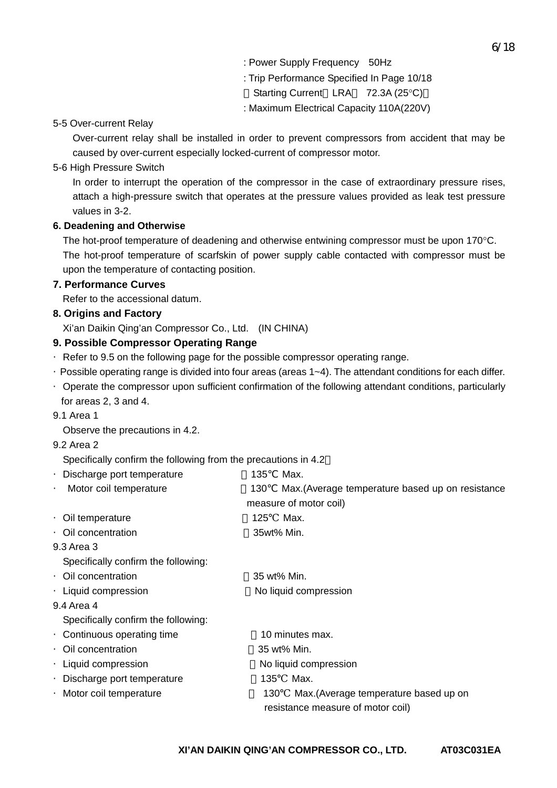- : Power Supply Frequency 50Hz
- : Trip Performance Specified In Page 10/18
	- Starting Current LRA 72.3A (25°C)
- : Maximum Electrical Capacity 110A(220V)

## 5-5 Over-current Relay

Over-current relay shall be installed in order to prevent compressors from accident that may be caused by over-current especially locked-current of compressor motor.

## 5-6 High Pressure Switch

In order to interrupt the operation of the compressor in the case of extraordinary pressure rises, attach a high-pressure switch that operates at the pressure values provided as leak test pressure values in 3-2.

## **6. Deadening and Otherwise**

The hot-proof temperature of deadening and otherwise entwining compressor must be upon 170°C. The hot-proof temperature of scarfskin of power supply cable contacted with compressor must be upon the temperature of contacting position.

## **7. Performance Curves**

Refer to the accessional datum.

## **8. Origins and Factory**

Xi'an Daikin Qing'an Compressor Co., Ltd. (IN CHINA)

## **9. Possible Compressor Operating Range**

- $\cdot$  Refer to 9.5 on the following page for the possible compressor operating range.
- ·Possible operating range is divided into four areas (areas 1~4). The attendant conditions for each differ.
- ·Operate the compressor upon sufficient confirmation of the following attendant conditions, particularly for areas 2, 3 and 4.

## 9.1 Area 1

Observe the precautions in 4.2.

## 9.2 Area 2

Specifically confirm the following from the precautions in 4.2

| Discharge port temperature          | 135                   | Max.                                             |  |  |  |  |
|-------------------------------------|-----------------------|--------------------------------------------------|--|--|--|--|
| Motor coil temperature              | 130                   | Max. (Average temperature based up on resistance |  |  |  |  |
|                                     |                       | measure of motor coil)                           |  |  |  |  |
| Oil temperature                     | 125                   | Max.                                             |  |  |  |  |
| Oil concentration                   | 35wt% Min.            |                                                  |  |  |  |  |
| 9.3 Area 3                          |                       |                                                  |  |  |  |  |
| Specifically confirm the following: |                       |                                                  |  |  |  |  |
| Oil concentration                   | 35 wt% Min.           |                                                  |  |  |  |  |
| · Liquid compression                | No liquid compression |                                                  |  |  |  |  |
| 9.4 Area 4                          |                       |                                                  |  |  |  |  |
| Specifically confirm the following: |                       |                                                  |  |  |  |  |
| Continuous operating time           |                       | 10 minutes max.                                  |  |  |  |  |
| Oil concentration                   |                       | 35 wt% Min.                                      |  |  |  |  |
| Liquid compression                  |                       | No liquid compression                            |  |  |  |  |
| Discharge port temperature          | 135                   | Max.                                             |  |  |  |  |
| Motor coil temperature              | 130                   | Max. (Average temperature based up on            |  |  |  |  |
|                                     |                       | resistance measure of motor coil)                |  |  |  |  |
|                                     |                       |                                                  |  |  |  |  |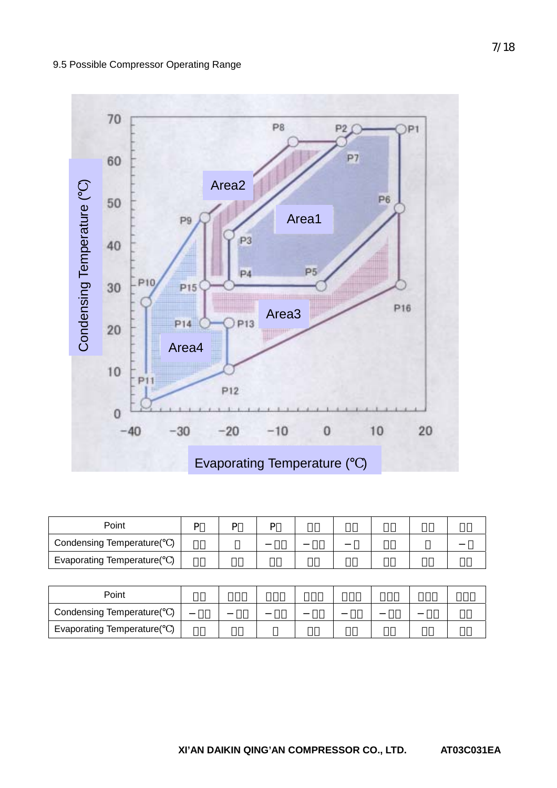9.5 Possible Compressor Operating Range



| Point                           |  |  |  |  |
|---------------------------------|--|--|--|--|
| <b>Condensing Temperature(</b>  |  |  |  |  |
| <b>Evaporating Temperature(</b> |  |  |  |  |

| Point                           |  |  |  |  |
|---------------------------------|--|--|--|--|
| <b>Condensing Temperature(</b>  |  |  |  |  |
| <b>Evaporating Temperature(</b> |  |  |  |  |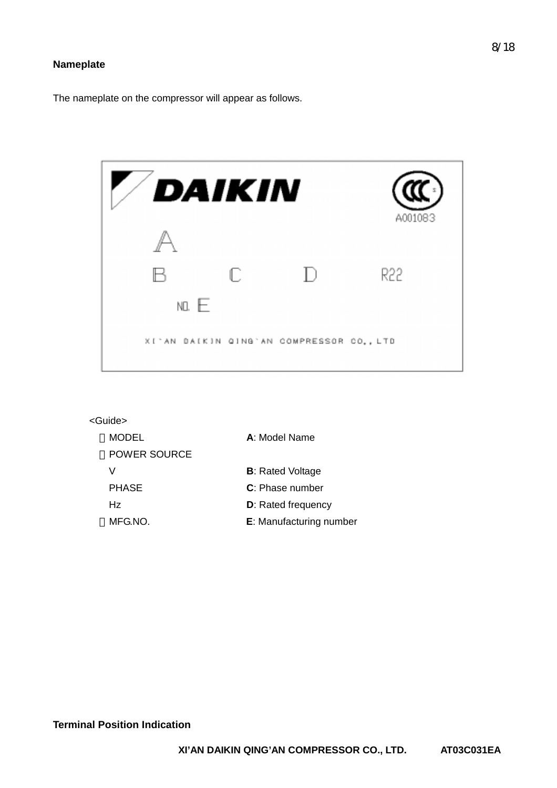## **Nameplate**

The nameplate on the compressor will appear as follows.



#### <Guide>

| <b>MODEL</b>        | A: Model Name              |
|---------------------|----------------------------|
| <b>POWER SOURCE</b> |                            |
|                     | <b>B</b> : Rated Voltage   |
| <b>PHASE</b>        | C: Phase number            |
| Hz.                 | <b>D</b> : Rated frequency |
| MFG.NO.             | E: Manufacturing number    |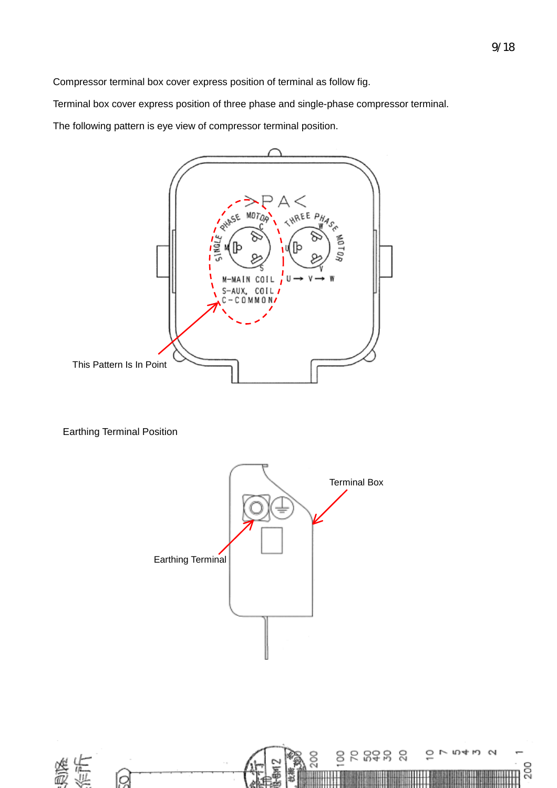Compressor terminal box cover express position of terminal as follow fig.

Terminal box cover express position of three phase and single-phase compressor terminal.

The following pattern is eye view of compressor terminal position.



Earthing Terminal Position



**XI'AN DAIKIN QING'AN COMPRESSOR CO., LTD. AT03C031EA**

80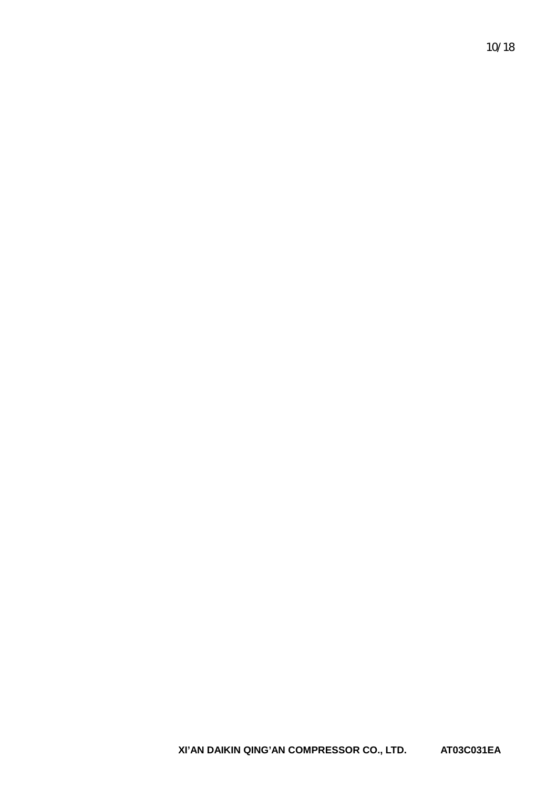10/18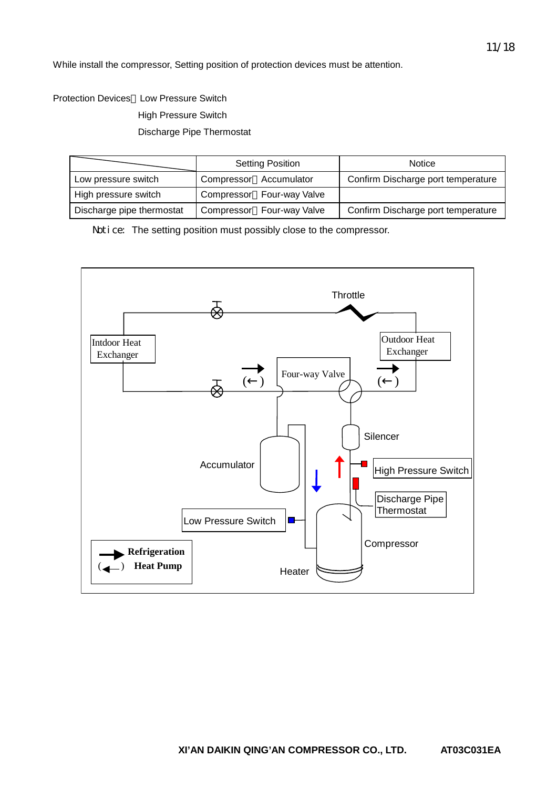While install the compressor, Setting position of protection devices must be attention.

Protection Devices Low Pressure Switch

High Pressure Switch

Discharge Pipe Thermostat

|                           | <b>Setting Position</b>   | <b>Notice</b>                      |
|---------------------------|---------------------------|------------------------------------|
| Low pressure switch       | Compressor Accumulator    | Confirm Discharge port temperature |
| High pressure switch      | Compressor Four-way Valve |                                    |
| Discharge pipe thermostat | Compressor Four-way Valve | Confirm Discharge port temperature |

Notice: The setting position must possibly close to the compressor.

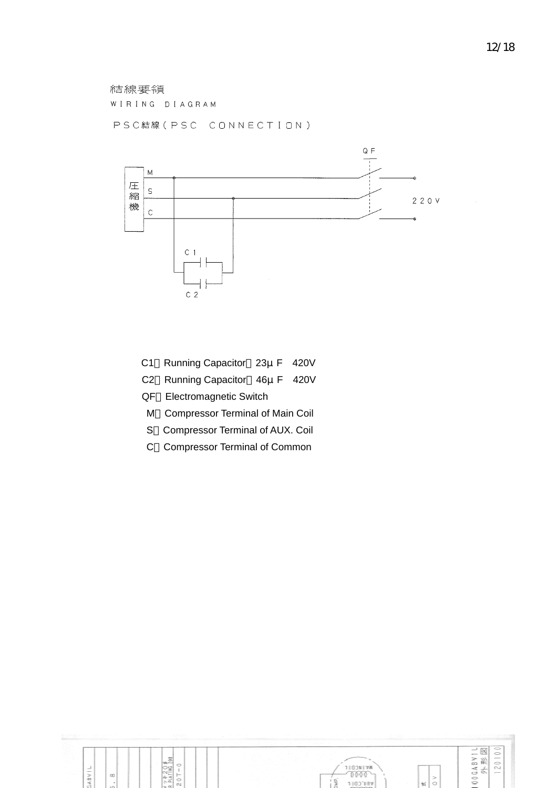3

#### 結線要領

WIRING DIAGRAM

PSC結線 (PSC CONNECTION)



- C1 Running Capacitor 23μF 420V
- C2 Running Capacitor 46μF 420V
- QF Electromagnetic Switch
- M Compressor Terminal of Main Coil
- S Compressor Terminal of AUX. Coil
- C Compressor Terminal of Common

|                                                  |    | <b>CONTRACTOR</b>                 |                                                    | <b>COMPANY</b><br>$-$<br><b>County</b>        |
|--------------------------------------------------|----|-----------------------------------|----------------------------------------------------|-----------------------------------------------|
|                                                  |    | -<br><b>COL</b><br><b>ATTACHE</b> | NVINCOUT<br><b>Brown and Controller Controller</b> | <b>Address of</b><br>Total<br>m<br><b>ACT</b> |
| <b>CONTROL</b><br><b>COMPANY</b><br>$\sim$<br>n. | 00 | <b>Contract Contract</b>          | and the action of the set of a set the             | 52<br><b>CONTRACTOR</b><br>O                  |
|                                                  |    | <b>COL</b>                        | nur.<br>$-$<br>THE COMPANY OF CONTRACTOR           | <b>Selling</b><br><b>Service</b><br>--<br>_   |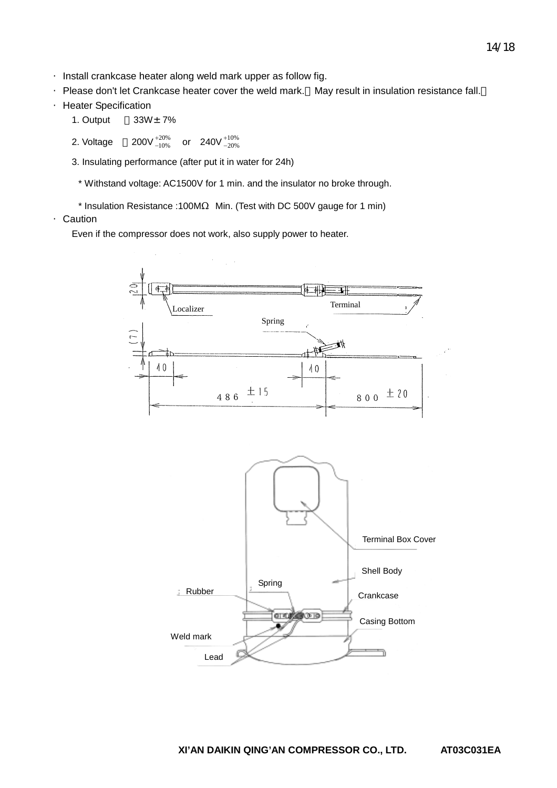- ·Install crankcase heater along weld mark upper as follow fig.
- ·Please don't let Crankcase heater cover the weld mark. May result in insulation resistance fall.
- ·Heater Specification
	- 1. Output  $33W \pm 7\%$
	- 2. Voltage  $200$ V $^{+20\%}_{-10\%}$  or 240V $^{+}_{-}$ 20% 10% + − 10% 20%

3. Insulating performance (after put it in water for 24h)

- \* Withstand voltage: AC1500V for 1 min. and the insulator no broke through.
- \* Insulation Resistance :100M Min. (Test with DC 500V gauge for 1 min)
- ·Caution

Even if the compressor does not work, also supply power to heater.

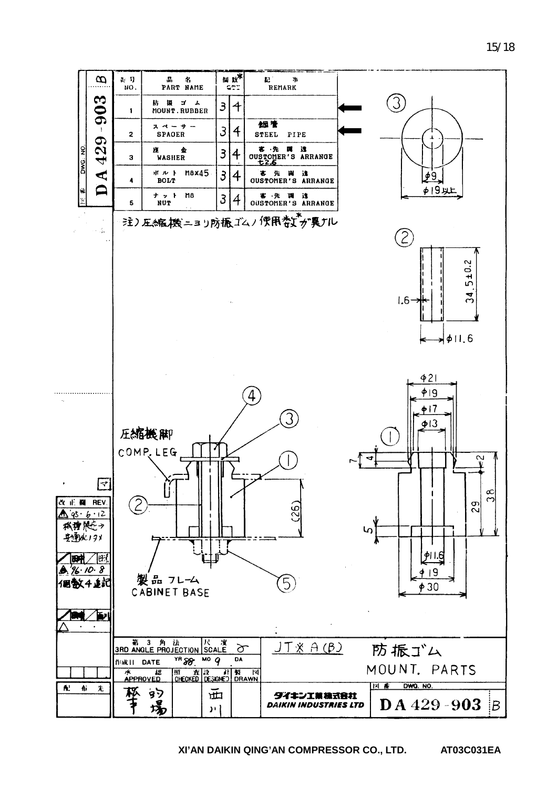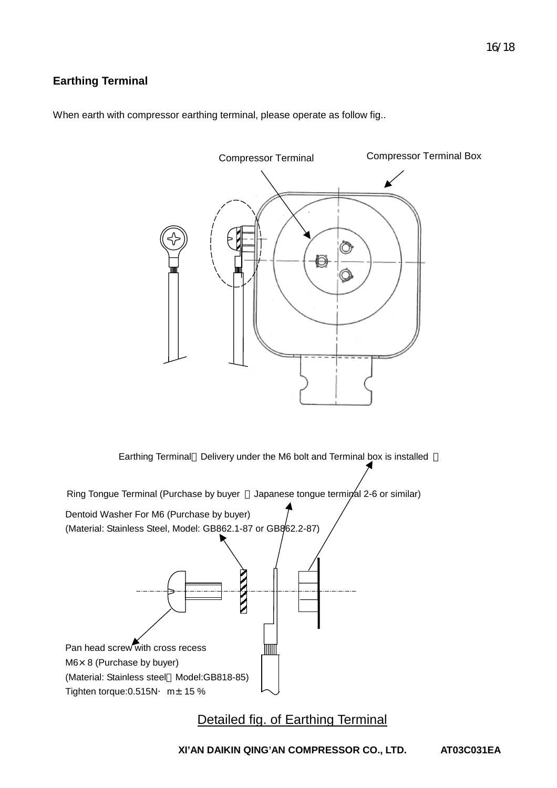## **Earthing Terminal**



When earth with compressor earthing terminal, please operate as follow fig..



# Detailed fig. of Earthing Terminal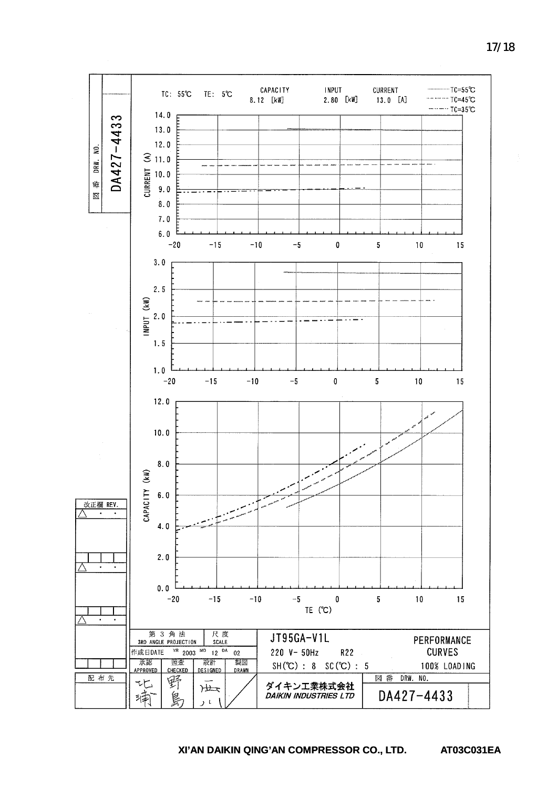

17/18